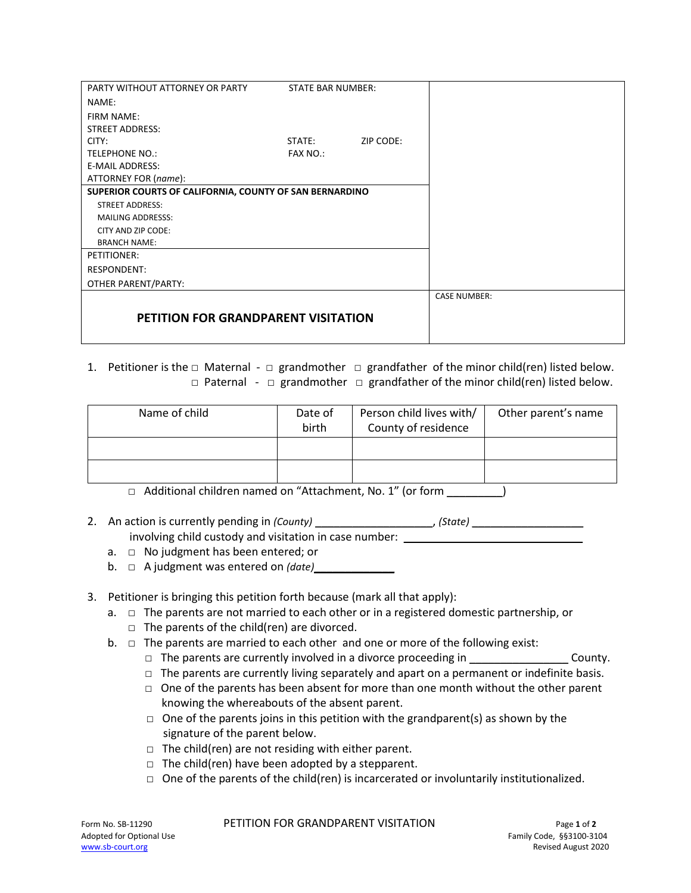| PARTY WITHOUT ATTORNEY OR PARTY                         | <b>STATE BAR NUMBER:</b> |           |                     |
|---------------------------------------------------------|--------------------------|-----------|---------------------|
| NAME:                                                   |                          |           |                     |
| <b>FIRM NAME:</b>                                       |                          |           |                     |
| <b>STREET ADDRESS:</b>                                  |                          |           |                     |
| CITY:                                                   | STATE:                   | ZIP CODE: |                     |
| <b>TELEPHONE NO.:</b>                                   | <b>FAX NO.:</b>          |           |                     |
| <b>E-MAIL ADDRESS:</b>                                  |                          |           |                     |
| ATTORNEY FOR (name):                                    |                          |           |                     |
| SUPERIOR COURTS OF CALIFORNIA, COUNTY OF SAN BERNARDINO |                          |           |                     |
| <b>STREET ADDRESS:</b>                                  |                          |           |                     |
| <b>MAILING ADDRESSS:</b>                                |                          |           |                     |
| CITY AND ZIP CODE:                                      |                          |           |                     |
| <b>BRANCH NAME:</b>                                     |                          |           |                     |
| PETITIONER:                                             |                          |           |                     |
| <b>RESPONDENT:</b>                                      |                          |           |                     |
| OTHER PARENT/PARTY:                                     |                          |           |                     |
|                                                         |                          |           | <b>CASE NUMBER:</b> |
|                                                         |                          |           |                     |
| <b>PETITION FOR GRANDPARENT VISITATION</b>              |                          |           |                     |
|                                                         |                          |           |                     |

1. Petitioner is the  $\Box$  Maternal -  $\Box$  grandmother  $\Box$  grandfather of the minor child(ren) listed below. □ Paternal - □ grandmother □ grandfather of the minor child(ren) listed below.

| Name of child                                             | Date of<br>birth | Person child lives with/<br>County of residence | Other parent's name |
|-----------------------------------------------------------|------------------|-------------------------------------------------|---------------------|
|                                                           |                  |                                                 |                     |
|                                                           |                  |                                                 |                     |
| Additional children named on "Attachment, No. 1" (or form |                  |                                                 |                     |

- 2. An action is currently pending in *(County)* example the state of *(State)* and  $\overline{a}$ involving child custody and visitation in case number:
	- a. □ No judgment has been entered; or
	- b. □ A judgment was entered on *(date)*
- 3. Petitioner is bringing this petition forth because (mark all that apply):
	- a. □ The parents are not married to each other or in a registered domestic partnership, or
		- $\Box$  The parents of the child(ren) are divorced.
	- b.  $\Box$  The parents are married to each other and one or more of the following exist:
		- $\Box$  The parents are currently involved in a divorce proceeding in  $\Box$  County.
		- $\Box$  The parents are currently living separately and apart on a permanent or indefinite basis.
		- $\Box$  One of the parents has been absent for more than one month without the other parent knowing the whereabouts of the absent parent.
		- $\Box$  One of the parents joins in this petition with the grandparent(s) as shown by the signature of the parent below.
		- □ The child(ren) are not residing with either parent.
		- $\Box$  The child(ren) have been adopted by a stepparent.
		- $\Box$  One of the parents of the child(ren) is incarcerated or involuntarily institutionalized.

Form No. SB-11290 **PETITION FOR GRANDPARENT VISITATION** Page 1 of 2